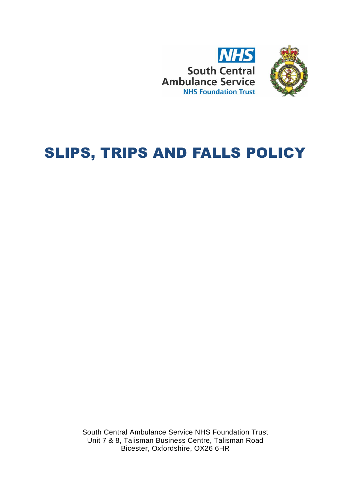



# SLIPS, TRIPS AND FALLS POLICY

South Central Ambulance Service NHS Foundation Trust Unit 7 & 8, Talisman Business Centre, Talisman Road Bicester, Oxfordshire, OX26 6HR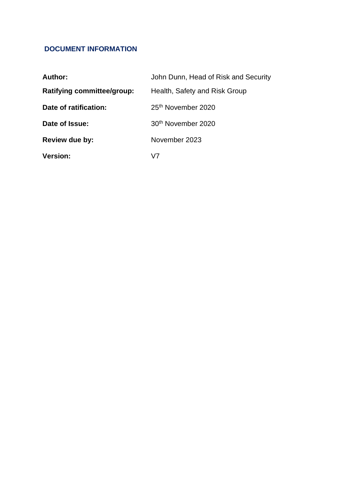# **DOCUMENT INFORMATION**

| Author:                           | John Dunn, Head of Risk and Security |
|-----------------------------------|--------------------------------------|
| <b>Ratifying committee/group:</b> | Health, Safety and Risk Group        |
| Date of ratification:             | 25 <sup>th</sup> November 2020       |
| Date of Issue:                    | 30 <sup>th</sup> November 2020       |
| <b>Review due by:</b>             | November 2023                        |
| <b>Version:</b>                   | V7                                   |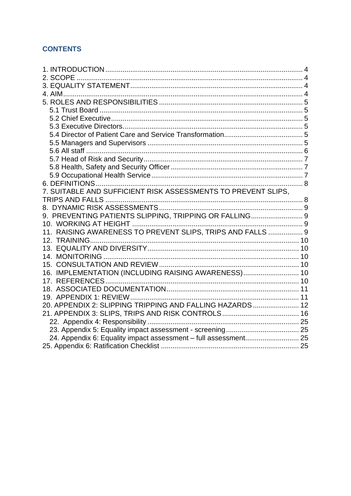# **CONTENTS**

| 7. SUITABLE AND SUFFICIENT RISK ASSESSMENTS TO PREVENT SLIPS.   |  |
|-----------------------------------------------------------------|--|
|                                                                 |  |
|                                                                 |  |
| 9. PREVENTING PATIENTS SLIPPING, TRIPPING OR FALLING 9          |  |
|                                                                 |  |
| 11. RAISING AWARENESS TO PREVENT SLIPS, TRIPS AND FALLS  9      |  |
|                                                                 |  |
|                                                                 |  |
|                                                                 |  |
|                                                                 |  |
| 16. IMPLEMENTATION (INCLUDING RAISING AWARENESS) 10             |  |
|                                                                 |  |
|                                                                 |  |
|                                                                 |  |
| 20. APPENDIX 2: SLIPPING TRIPPING AND FALLING HAZARDS  12       |  |
|                                                                 |  |
|                                                                 |  |
|                                                                 |  |
| 24. Appendix 6: Equality impact assessment - full assessment 25 |  |
|                                                                 |  |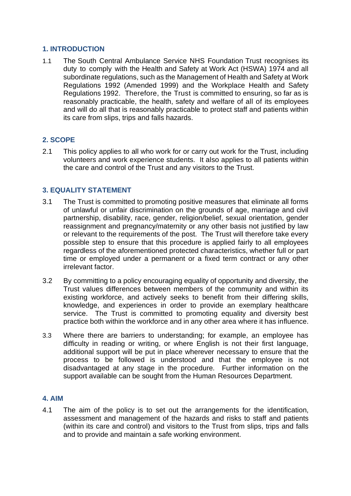# <span id="page-3-0"></span>**1. INTRODUCTION**

1.1 The South Central Ambulance Service NHS Foundation Trust recognises its duty to comply with the Health and Safety at Work Act (HSWA) 1974 and all subordinate regulations, such as the Management of Health and Safety at Work Regulations 1992 (Amended 1999) and the Workplace Health and Safety Regulations 1992. Therefore, the Trust is committed to ensuring, so far as is reasonably practicable, the health, safety and welfare of all of its employees and will do all that is reasonably practicable to protect staff and patients within its care from slips, trips and falls hazards.

# <span id="page-3-1"></span>**2. SCOPE**

2.1 This policy applies to all who work for or carry out work for the Trust, including volunteers and work experience students. It also applies to all patients within the care and control of the Trust and any visitors to the Trust.

# <span id="page-3-2"></span>**3. EQUALITY STATEMENT**

- 3.1 The Trust is committed to promoting positive measures that eliminate all forms of unlawful or unfair discrimination on the grounds of age, marriage and civil partnership, disability, race, gender, religion/belief, sexual orientation, gender reassignment and pregnancy/maternity or any other basis not justified by law or relevant to the requirements of the post. The Trust will therefore take every possible step to ensure that this procedure is applied fairly to all employees regardless of the aforementioned protected characteristics, whether full or part time or employed under a permanent or a fixed term contract or any other irrelevant factor.
- 3.2 By committing to a policy encouraging equality of opportunity and diversity, the Trust values differences between members of the community and within its existing workforce, and actively seeks to benefit from their differing skills, knowledge, and experiences in order to provide an exemplary healthcare service. The Trust is committed to promoting equality and diversity best practice both within the workforce and in any other area where it has influence.
- 3.3 Where there are barriers to understanding; for example, an employee has difficulty in reading or writing, or where English is not their first language, additional support will be put in place wherever necessary to ensure that the process to be followed is understood and that the employee is not disadvantaged at any stage in the procedure. Further information on the support available can be sought from the Human Resources Department.

# <span id="page-3-3"></span>**4. AIM**

4.1 The aim of the policy is to set out the arrangements for the identification, assessment and management of the hazards and risks to staff and patients (within its care and control) and visitors to the Trust from slips, trips and falls and to provide and maintain a safe working environment.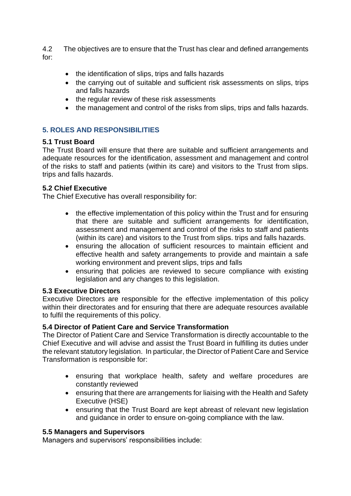4.2 The objectives are to ensure that the Trust has clear and defined arrangements for:

- the identification of slips, trips and falls hazards
- the carrying out of suitable and sufficient risk assessments on slips, trips and falls hazards
- the regular review of these risk assessments
- the management and control of the risks from slips, trips and falls hazards.

# <span id="page-4-0"></span>**5. ROLES AND RESPONSIBILITIES**

# <span id="page-4-1"></span>**5.1 Trust Board**

The Trust Board will ensure that there are suitable and sufficient arrangements and adequate resources for the identification, assessment and management and control of the risks to staff and patients (within its care) and visitors to the Trust from slips. trips and falls hazards.

# <span id="page-4-2"></span>**5.2 Chief Executive**

The Chief Executive has overall responsibility for:

- the effective implementation of this policy within the Trust and for ensuring that there are suitable and sufficient arrangements for identification, assessment and management and control of the risks to staff and patients (within its care) and visitors to the Trust from slips. trips and falls hazards.
- ensuring the allocation of sufficient resources to maintain efficient and effective health and safety arrangements to provide and maintain a safe working environment and prevent slips, trips and falls
- ensuring that policies are reviewed to secure compliance with existing legislation and any changes to this legislation.

# <span id="page-4-3"></span>**5.3 Executive Directors**

Executive Directors are responsible for the effective implementation of this policy within their directorates and for ensuring that there are adequate resources available to fulfil the requirements of this policy.

# <span id="page-4-4"></span>**5.4 Director of Patient Care and Service Transformation**

The Director of Patient Care and Service Transformation is directly accountable to the Chief Executive and will advise and assist the Trust Board in fulfilling its duties under the relevant statutory legislation. In particular, the Director of Patient Care and Service Transformation is responsible for:

- ensuring that workplace health, safety and welfare procedures are constantly reviewed
- ensuring that there are arrangements for liaising with the Health and Safety Executive (HSE)
- ensuring that the Trust Board are kept abreast of relevant new legislation and guidance in order to ensure on-going compliance with the law.

# <span id="page-4-5"></span>**5.5 Managers and Supervisors**

Managers and supervisors' responsibilities include: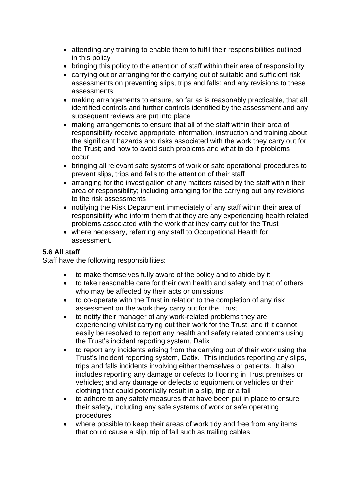- attending any training to enable them to fulfil their responsibilities outlined in this policy
- bringing this policy to the attention of staff within their area of responsibility
- carrying out or arranging for the carrying out of suitable and sufficient risk assessments on preventing slips, trips and falls; and any revisions to these assessments
- making arrangements to ensure, so far as is reasonably practicable, that all identified controls and further controls identified by the assessment and any subsequent reviews are put into place
- making arrangements to ensure that all of the staff within their area of responsibility receive appropriate information, instruction and training about the significant hazards and risks associated with the work they carry out for the Trust; and how to avoid such problems and what to do if problems occur
- bringing all relevant safe systems of work or safe operational procedures to prevent slips, trips and falls to the attention of their staff
- arranging for the investigation of any matters raised by the staff within their area of responsibility; including arranging for the carrying out any revisions to the risk assessments
- notifying the Risk Department immediately of any staff within their area of responsibility who inform them that they are any experiencing health related problems associated with the work that they carry out for the Trust
- where necessary, referring any staff to Occupational Health for assessment.

# <span id="page-5-0"></span>**5.6 All staff**

Staff have the following responsibilities:

- to make themselves fully aware of the policy and to abide by it
- to take reasonable care for their own health and safety and that of others who may be affected by their acts or omissions
- to co-operate with the Trust in relation to the completion of any risk assessment on the work they carry out for the Trust
- to notify their manager of any work-related problems they are experiencing whilst carrying out their work for the Trust; and if it cannot easily be resolved to report any health and safety related concerns using the Trust's incident reporting system, Datix
- to report any incidents arising from the carrying out of their work using the Trust's incident reporting system, Datix. This includes reporting any slips, trips and falls incidents involving either themselves or patients. It also includes reporting any damage or defects to flooring in Trust premises or vehicles; and any damage or defects to equipment or vehicles or their clothing that could potentially result in a slip, trip or a fall
- to adhere to any safety measures that have been put in place to ensure their safety, including any safe systems of work or safe operating procedures
- where possible to keep their areas of work tidy and free from any items that could cause a slip, trip of fall such as trailing cables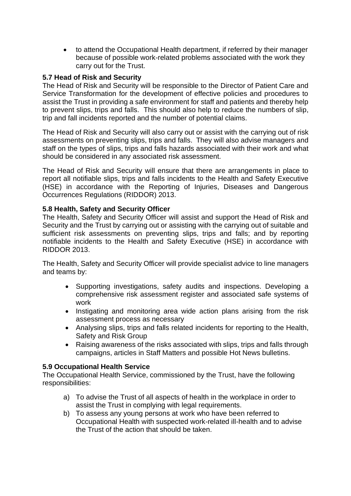• to attend the Occupational Health department, if referred by their manager because of possible work-related problems associated with the work they carry out for the Trust.

# <span id="page-6-0"></span>**5.7 Head of Risk and Security**

The Head of Risk and Security will be responsible to the Director of Patient Care and Service Transformation for the development of effective policies and procedures to assist the Trust in providing a safe environment for staff and patients and thereby help to prevent slips, trips and falls. This should also help to reduce the numbers of slip, trip and fall incidents reported and the number of potential claims.

The Head of Risk and Security will also carry out or assist with the carrying out of risk assessments on preventing slips, trips and falls. They will also advise managers and staff on the types of slips, trips and falls hazards associated with their work and what should be considered in any associated risk assessment.

The Head of Risk and Security will ensure that there are arrangements in place to report all notifiable slips, trips and falls incidents to the Health and Safety Executive (HSE) in accordance with the Reporting of Injuries, Diseases and Dangerous Occurrences Regulations (RIDDOR) 2013.

# <span id="page-6-1"></span>**5.8 Health, Safety and Security Officer**

The Health, Safety and Security Officer will assist and support the Head of Risk and Security and the Trust by carrying out or assisting with the carrying out of suitable and sufficient risk assessments on preventing slips, trips and falls; and by reporting notifiable incidents to the Health and Safety Executive (HSE) in accordance with RIDDOR 2013.

The Health, Safety and Security Officer will provide specialist advice to line managers and teams by:

- Supporting investigations, safety audits and inspections. Developing a comprehensive risk assessment register and associated safe systems of work
- Instigating and monitoring area wide action plans arising from the risk assessment process as necessary
- Analysing slips, trips and falls related incidents for reporting to the Health, Safety and Risk Group
- Raising awareness of the risks associated with slips, trips and falls through campaigns, articles in Staff Matters and possible Hot News bulletins.

# <span id="page-6-2"></span>**5.9 Occupational Health Service**

The Occupational Health Service, commissioned by the Trust, have the following responsibilities:

- a) To advise the Trust of all aspects of health in the workplace in order to assist the Trust in complying with legal requirements.
- b) To assess any young persons at work who have been referred to Occupational Health with suspected work-related ill-health and to advise the Trust of the action that should be taken.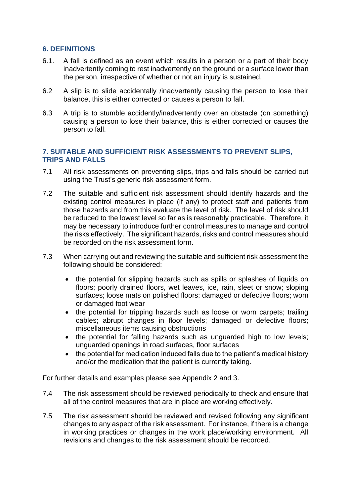# <span id="page-7-0"></span>**6. DEFINITIONS**

- 6.1. A fall is defined as an event which results in a person or a part of their body inadvertently coming to rest inadvertently on the ground or a surface lower than the person, irrespective of whether or not an injury is sustained.
- 6.2 A slip is to slide accidentally /inadvertently causing the person to lose their balance, this is either corrected or causes a person to fall.
- 6.3 A trip is to stumble accidently/inadvertently over an obstacle (on something) causing a person to lose their balance, this is either corrected or causes the person to fall.

# <span id="page-7-1"></span>**7. SUITABLE AND SUFFICIENT RISK ASSESSMENTS TO PREVENT SLIPS, TRIPS AND FALLS**

- 7.1 All risk assessments on preventing slips, trips and falls should be carried out using the Trust's generic risk assessment form.
- 7.2 The suitable and sufficient risk assessment should identify hazards and the existing control measures in place (if any) to protect staff and patients from those hazards and from this evaluate the level of risk. The level of risk should be reduced to the lowest level so far as is reasonably practicable. Therefore, it may be necessary to introduce further control measures to manage and control the risks effectively. The significant hazards, risks and control measures should be recorded on the risk assessment form.
- 7.3 When carrying out and reviewing the suitable and sufficient risk assessment the following should be considered:
	- the potential for slipping hazards such as spills or splashes of liquids on floors; poorly drained floors, wet leaves, ice, rain, sleet or snow; sloping surfaces; loose mats on polished floors; damaged or defective floors; worn or damaged foot wear
	- the potential for tripping hazards such as loose or worn carpets; trailing cables; abrupt changes in floor levels; damaged or defective floors; miscellaneous items causing obstructions
	- the potential for falling hazards such as unguarded high to low levels; unguarded openings in road surfaces, floor surfaces
	- the potential for medication induced falls due to the patient's medical history and/or the medication that the patient is currently taking.

For further details and examples please see Appendix 2 and 3.

- 7.4 The risk assessment should be reviewed periodically to check and ensure that all of the control measures that are in place are working effectively.
- 7.5 The risk assessment should be reviewed and revised following any significant changes to any aspect of the risk assessment. For instance, if there is a change in working practices or changes in the work place/working environment. All revisions and changes to the risk assessment should be recorded.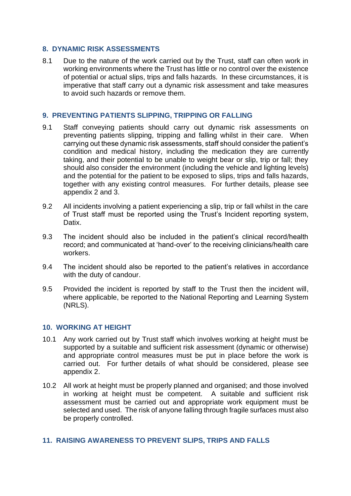# <span id="page-8-0"></span>**8. DYNAMIC RISK ASSESSMENTS**

8.1 Due to the nature of the work carried out by the Trust, staff can often work in working environments where the Trust has little or no control over the existence of potential or actual slips, trips and falls hazards. In these circumstances, it is imperative that staff carry out a dynamic risk assessment and take measures to avoid such hazards or remove them.

#### <span id="page-8-1"></span>**9. PREVENTING PATIENTS SLIPPING, TRIPPING OR FALLING**

- 9.1 Staff conveying patients should carry out dynamic risk assessments on preventing patients slipping, tripping and falling whilst in their care. When carrying out these dynamic risk assessments, staff should consider the patient's condition and medical history, including the medication they are currently taking, and their potential to be unable to weight bear or slip, trip or fall; they should also consider the environment (including the vehicle and lighting levels) and the potential for the patient to be exposed to slips, trips and falls hazards, together with any existing control measures. For further details, please see appendix 2 and 3.
- 9.2 All incidents involving a patient experiencing a slip, trip or fall whilst in the care of Trust staff must be reported using the Trust's Incident reporting system, Datix.
- 9.3 The incident should also be included in the patient's clinical record/health record; and communicated at 'hand-over' to the receiving clinicians/health care workers.
- 9.4 The incident should also be reported to the patient's relatives in accordance with the duty of candour.
- 9.5 Provided the incident is reported by staff to the Trust then the incident will, where applicable, be reported to the National Reporting and Learning System (NRLS).

#### <span id="page-8-2"></span>**10. WORKING AT HEIGHT**

- 10.1 Any work carried out by Trust staff which involves working at height must be supported by a suitable and sufficient risk assessment (dynamic or otherwise) and appropriate control measures must be put in place before the work is carried out. For further details of what should be considered, please see appendix 2.
- 10.2 All work at height must be properly planned and organised; and those involved in working at height must be competent. A suitable and sufficient risk assessment must be carried out and appropriate work equipment must be selected and used. The risk of anyone falling through fragile surfaces must also be properly controlled.

# <span id="page-8-3"></span>**11. RAISING AWARENESS TO PREVENT SLIPS, TRIPS AND FALLS**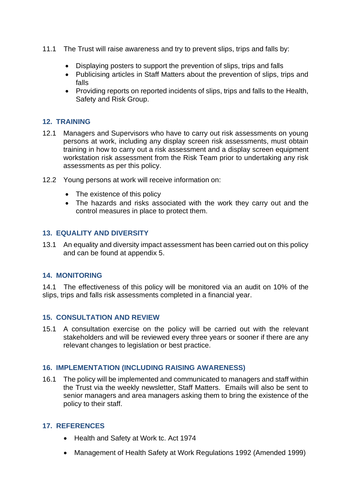- 11.1 The Trust will raise awareness and try to prevent slips, trips and falls by:
	- Displaying posters to support the prevention of slips, trips and falls
	- Publicising articles in Staff Matters about the prevention of slips, trips and falls
	- Providing reports on reported incidents of slips, trips and falls to the Health, Safety and Risk Group.

# <span id="page-9-0"></span>**12. TRAINING**

- 12.1 Managers and Supervisors who have to carry out risk assessments on young persons at work, including any display screen risk assessments, must obtain training in how to carry out a risk assessment and a display screen equipment workstation risk assessment from the Risk Team prior to undertaking any risk assessments as per this policy.
- 12.2 Young persons at work will receive information on:
	- The existence of this policy
	- The hazards and risks associated with the work they carry out and the control measures in place to protect them.

# <span id="page-9-1"></span>**13. EQUALITY AND DIVERSITY**

13.1 An equality and diversity impact assessment has been carried out on this policy and can be found at appendix 5.

# <span id="page-9-2"></span>**14. MONITORING**

14.1 The effectiveness of this policy will be monitored via an audit on 10% of the slips, trips and falls risk assessments completed in a financial year.

# <span id="page-9-3"></span>**15. CONSULTATION AND REVIEW**

15.1 A consultation exercise on the policy will be carried out with the relevant stakeholders and will be reviewed every three years or sooner if there are any relevant changes to legislation or best practice.

# <span id="page-9-4"></span>**16. IMPLEMENTATION (INCLUDING RAISING AWARENESS)**

16.1 The policy will be implemented and communicated to managers and staff within the Trust via the weekly newsletter, Staff Matters. Emails will also be sent to senior managers and area managers asking them to bring the existence of the policy to their staff.

# <span id="page-9-5"></span>**17. REFERENCES**

- Health and Safety at Work tc. Act 1974
- Management of Health Safety at Work Regulations 1992 (Amended 1999)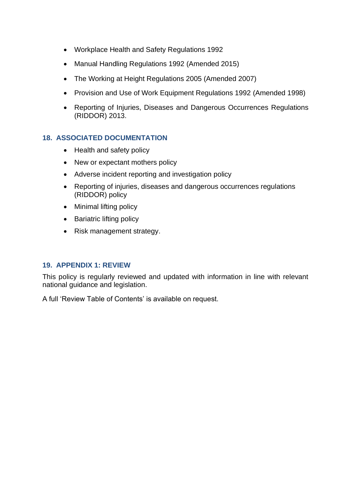- Workplace Health and Safety Regulations 1992
- Manual Handling Regulations 1992 (Amended 2015)
- The Working at Height Regulations 2005 (Amended 2007)
- Provision and Use of Work Equipment Regulations 1992 (Amended 1998)
- Reporting of Injuries, Diseases and Dangerous Occurrences Regulations (RIDDOR) 2013.

# <span id="page-10-0"></span>**18. ASSOCIATED DOCUMENTATION**

- Health and safety policy
- New or expectant mothers policy
- Adverse incident reporting and investigation policy
- Reporting of injuries, diseases and dangerous occurrences regulations (RIDDOR) policy
- Minimal lifting policy
- Bariatric lifting policy
- Risk management strategy.

# <span id="page-10-1"></span>**19. APPENDIX 1: REVIEW**

This policy is regularly reviewed and updated with information in line with relevant national guidance and legislation.

A full 'Review Table of Contents' is available on request.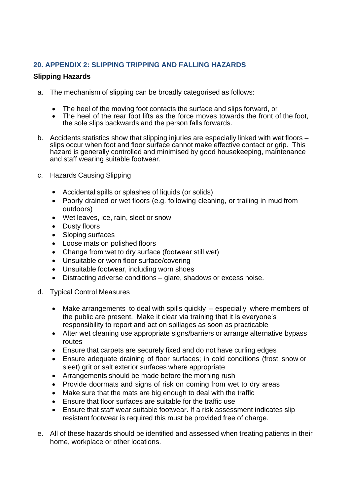# <span id="page-11-0"></span>**20. APPENDIX 2: SLIPPING TRIPPING AND FALLING HAZARDS**

# **Slipping Hazards**

- a. The mechanism of slipping can be broadly categorised as follows:
	- The heel of the moving foot contacts the surface and slips forward, or
	- The heel of the rear foot lifts as the force moves towards the front of the foot, the sole slips backwards and the person falls forwards.
- b. Accidents statistics show that slipping injuries are especially linked with wet floors slips occur when foot and floor surface cannot make effective contact or grip. This hazard is generally controlled and minimised by good housekeeping, maintenance and staff wearing suitable footwear.
- c. Hazards Causing Slipping
	- Accidental spills or splashes of liquids (or solids)
	- Poorly drained or wet floors (e.g. following cleaning, or trailing in mud from outdoors)
	- Wet leaves, ice, rain, sleet or snow
	- Dusty floors
	- Sloping surfaces
	- Loose mats on polished floors
	- Change from wet to dry surface (footwear still wet)
	- Unsuitable or worn floor surface/covering
	- Unsuitable footwear, including worn shoes
	- Distracting adverse conditions glare, shadows or excess noise.
- d. Typical Control Measures
	- Make arrangements to deal with spills quickly especially where members of the public are present. Make it clear via training that it is everyone's responsibility to report and act on spillages as soon as practicable
	- After wet cleaning use appropriate signs/barriers or arrange alternative bypass routes
	- Ensure that carpets are securely fixed and do not have curling edges
	- Ensure adequate draining of floor surfaces; in cold conditions (frost, snow or sleet) grit or salt exterior surfaces where appropriate
	- Arrangements should be made before the morning rush
	- Provide doormats and signs of risk on coming from wet to dry areas
	- Make sure that the mats are big enough to deal with the traffic
	- Ensure that floor surfaces are suitable for the traffic use
	- Ensure that staff wear suitable footwear. If a risk assessment indicates slip resistant footwear is required this must be provided free of charge.
- e. All of these hazards should be identified and assessed when treating patients in their home, workplace or other locations.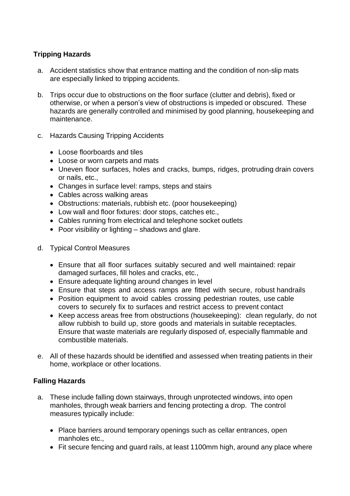# **Tripping Hazards**

- a. Accident statistics show that entrance matting and the condition of non-slip mats are especially linked to tripping accidents.
- b. Trips occur due to obstructions on the floor surface (clutter and debris), fixed or otherwise, or when a person's view of obstructions is impeded or obscured. These hazards are generally controlled and minimised by good planning, housekeeping and maintenance.
- c. Hazards Causing Tripping Accidents
	- Loose floorboards and tiles
	- Loose or worn carpets and mats
	- Uneven floor surfaces, holes and cracks, bumps, ridges, protruding drain covers or nails, etc.,
	- Changes in surface level: ramps, steps and stairs
	- Cables across walking areas
	- Obstructions: materials, rubbish etc. (poor housekeeping)
	- Low wall and floor fixtures: door stops, catches etc.,
	- Cables running from electrical and telephone socket outlets
	- Poor visibility or lighting shadows and glare.
- d. Typical Control Measures
	- Ensure that all floor surfaces suitably secured and well maintained: repair damaged surfaces, fill holes and cracks, etc.,
	- Ensure adequate lighting around changes in level
	- Ensure that steps and access ramps are fitted with secure, robust handrails
	- Position equipment to avoid cables crossing pedestrian routes, use cable covers to securely fix to surfaces and restrict access to prevent contact
	- Keep access areas free from obstructions (housekeeping): clean regularly, do not allow rubbish to build up, store goods and materials in suitable receptacles. Ensure that waste materials are regularly disposed of, especially flammable and combustible materials.
- e. All of these hazards should be identified and assessed when treating patients in their home, workplace or other locations.

# **Falling Hazards**

- a. These include falling down stairways, through unprotected windows, into open manholes, through weak barriers and fencing protecting a drop. The control measures typically include:
	- Place barriers around temporary openings such as cellar entrances, open manholes etc.,
	- Fit secure fencing and guard rails, at least 1100mm high, around any place where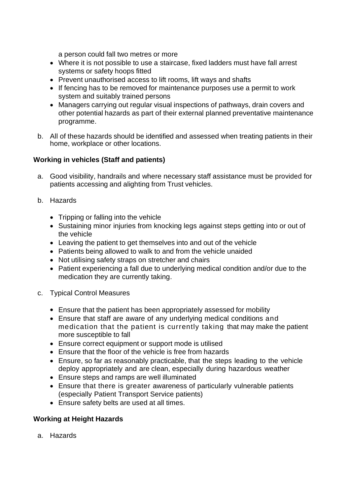a person could fall two metres or more

- Where it is not possible to use a staircase, fixed ladders must have fall arrest systems or safety hoops fitted
- Prevent unauthorised access to lift rooms, lift ways and shafts
- If fencing has to be removed for maintenance purposes use a permit to work system and suitably trained persons
- Managers carrying out regular visual inspections of pathways, drain covers and other potential hazards as part of their external planned preventative maintenance programme.
- b. All of these hazards should be identified and assessed when treating patients in their home, workplace or other locations.

# **Working in vehicles (Staff and patients)**

- a. Good visibility, handrails and where necessary staff assistance must be provided for patients accessing and alighting from Trust vehicles.
- b. Hazards
	- Tripping or falling into the vehicle
	- Sustaining minor injuries from knocking legs against steps getting into or out of the vehicle
	- Leaving the patient to get themselves into and out of the vehicle
	- Patients being allowed to walk to and from the vehicle unaided
	- Not utilising safety straps on stretcher and chairs
	- Patient experiencing a fall due to underlying medical condition and/or due to the medication they are currently taking.
- c. Typical Control Measures
	- Ensure that the patient has been appropriately assessed for mobility
	- Ensure that staff are aware of any underlying medical conditions and medication that the patient is currently taking that may make the patient more susceptible to fall
	- Ensure correct equipment or support mode is utilised
	- Ensure that the floor of the vehicle is free from hazards
	- Ensure, so far as reasonably practicable, that the steps leading to the vehicle deploy appropriately and are clean, especially during hazardous weather
	- Ensure steps and ramps are well illuminated
	- Ensure that there is greater awareness of particularly vulnerable patients (especially Patient Transport Service patients)
	- Ensure safety belts are used at all times.

# **Working at Height Hazards**

a. Hazards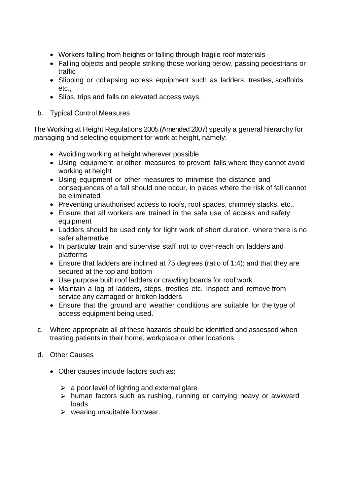- Workers falling from heights or falling through fragile roof materials
- Falling objects and people striking those working below, passing pedestrians or traffic
- Slipping or collapsing access equipment such as ladders, trestles, scaffolds etc.,
- Slips, trips and falls on elevated access ways.
- b. Typical Control Measures

The Working at Height Regulations 2005 (Amended 2007) specify a general hierarchy for managing and selecting equipment for work at height, namely:

- Avoiding working at height wherever possible
- Using equipment or other measures to prevent falls where they cannot avoid working at height
- Using equipment or other measures to minimise the distance and consequences of a fall should one occur, in places where the risk of fall cannot be eliminated
- Preventing unauthorised access to roofs, roof spaces, chimney stacks, etc.,
- Ensure that all workers are trained in the safe use of access and safety equipment
- Ladders should be used only for light work of short duration, where there is no safer alternative
- In particular train and supervise staff not to over-reach on ladders and platforms
- Ensure that ladders are inclined at 75 degrees (ratio of 1:4); and that they are secured at the top and bottom
- Use purpose built roof ladders or crawling boards for roof work
- Maintain a log of ladders, steps, trestles etc. Inspect and remove from service any damaged or broken ladders
- Ensure that the ground and weather conditions are suitable for the type of access equipment being used.
- c. Where appropriate all of these hazards should be identified and assessed when treating patients in their home, workplace or other locations.
- d. Other Causes
	- Other causes include factors such as:
		- $\geq$  a poor level of lighting and external glare
		- $\triangleright$  human factors such as rushing, running or carrying heavy or awkward loads
		- $\triangleright$  wearing unsuitable footwear.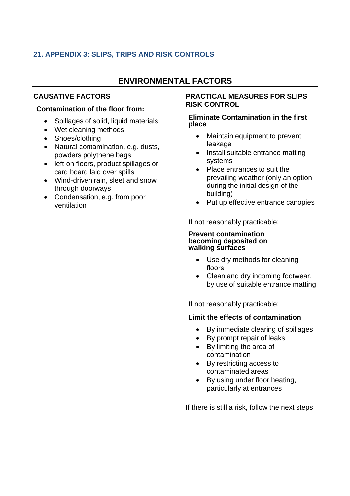# <span id="page-15-0"></span>**21. APPENDIX 3: SLIPS, TRIPS AND RISK CONTROLS**

# **ENVIRONMENTAL FACTORS**

# **CAUSATIVE FACTORS**

# **Contamination of the floor from:**

- Spillages of solid, liquid materials
- Wet cleaning methods
- Shoes/clothing
- Natural contamination, e.g. dusts, powders polythene bags
- left on floors, product spillages or card board laid over spills
- Wind-driven rain, sleet and snow through doorways
- Condensation, e.g. from poor ventilation

#### **PRACTICAL MEASURES FOR SLIPS RISK CONTROL**

#### **Eliminate Contamination in the first place**

- Maintain equipment to prevent leakage
- Install suitable entrance matting systems
- Place entrances to suit the prevailing weather (only an option during the initial design of the building)
- Put up effective entrance canopies

If not reasonably practicable:

#### **Prevent contamination becoming deposited on walking surfaces**

- Use dry methods for cleaning floors
- Clean and dry incoming footwear, by use of suitable entrance matting

If not reasonably practicable:

# **Limit the effects of contamination**

- By immediate clearing of spillages
- By prompt repair of leaks
- By limiting the area of contamination
- By restricting access to contaminated areas
- By using under floor heating, particularly at entrances

If there is still a risk, follow the next steps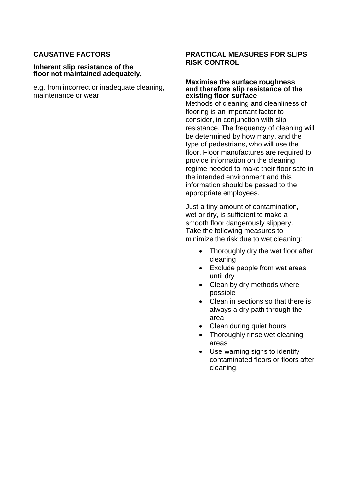# **CAUSATIVE FACTORS**

#### **Inherent slip resistance of the floor not maintained adequately,**

e.g. from incorrect or inadequate cleaning, maintenance or wear

# **PRACTICAL MEASURES FOR SLIPS RISK CONTROL**

#### **Maximise the surface roughness and therefore slip resistance of the existing floor surface**

Methods of cleaning and cleanliness of flooring is an important factor to consider, in conjunction with slip resistance. The frequency of cleaning will be determined by how many, and the type of pedestrians, who will use the floor. Floor manufactures are required to provide information on the cleaning regime needed to make their floor safe in the intended environment and this information should be passed to the appropriate employees.

Just a tiny amount of contamination, wet or dry, is sufficient to make a smooth floor dangerously slippery. Take the following measures to minimize the risk due to wet cleaning:

- Thoroughly dry the wet floor after cleaning
- Exclude people from wet areas until dry
- Clean by dry methods where possible
- Clean in sections so that there is always a dry path through the area
- Clean during quiet hours
- Thoroughly rinse wet cleaning areas
- Use warning signs to identify contaminated floors or floors after cleaning.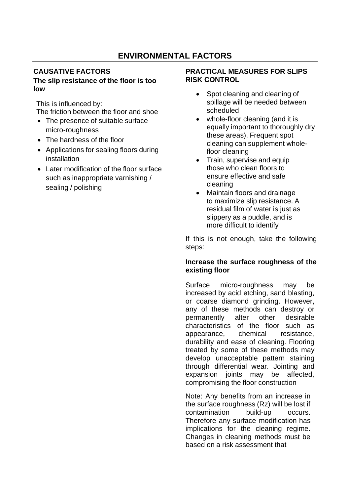# **ENVIRONMENTAL FACTORS**

# **CAUSATIVE FACTORS**

# **The slip resistance of the floor is too low**

This is influenced by:

The friction between the floor and shoe

- The presence of suitable surface micro-roughness
- The hardness of the floor
- Applications for sealing floors during installation
- Later modification of the floor surface such as inappropriate varnishing / sealing / polishing

# **PRACTICAL MEASURES FOR SLIPS RISK CONTROL**

- Spot cleaning and cleaning of spillage will be needed between scheduled
- whole-floor cleaning (and it is equally important to thoroughly dry these areas). Frequent spot cleaning can supplement wholefloor cleaning
- Train, supervise and equip those who clean floors to ensure effective and safe cleaning
- Maintain floors and drainage to maximize slip resistance. A residual film of water is just as slippery as a puddle, and is more difficult to identify

If this is not enough, take the following steps:

# **Increase the surface roughness of the existing floor**

Surface micro-roughness may be increased by acid etching, sand blasting, or coarse diamond grinding. However, any of these methods can destroy or permanently alter other desirable characteristics of the floor such as appearance, chemical resistance, durability and ease of cleaning. Flooring treated by some of these methods may develop unacceptable pattern staining through differential wear. Jointing and expansion joints may be affected, compromising the floor construction

Note: Any benefits from an increase in the surface roughness (Rz) will be lost if contamination build-up occurs. Therefore any surface modification has implications for the cleaning regime. Changes in cleaning methods must be based on a risk assessment that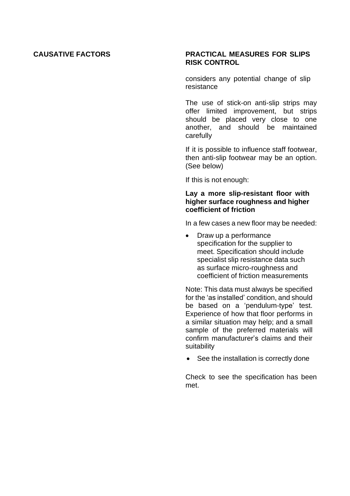# **CAUSATIVE FACTORS PRACTICAL MEASURES FOR SLIPS RISK CONTROL**

considers any potential change of slip resistance

The use of stick-on anti-slip strips may offer limited improvement, but strips should be placed very close to one another, and should be maintained carefully

If it is possible to influence staff footwear, then anti-slip footwear may be an option. (See below)

If this is not enough:

#### **Lay a more slip-resistant floor with higher surface roughness and higher coefficient of friction**

In a few cases a new floor may be needed:

• Draw up a performance specification for the supplier to meet. Specification should include specialist slip resistance data such as surface micro-roughness and coefficient of friction measurements

Note: This data must always be specified for the 'as installed' condition, and should be based on a 'pendulum-type' test. Experience of how that floor performs in a similar situation may help; and a small sample of the preferred materials will confirm manufacturer's claims and their suitability

• See the installation is correctly done

Check to see the specification has been met.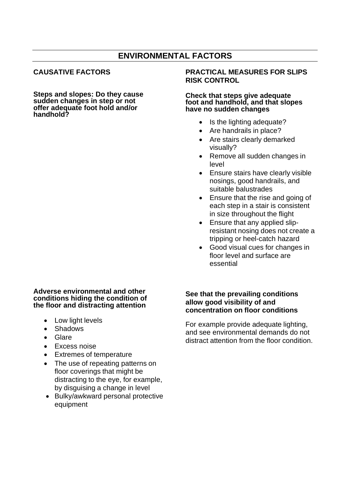# **ENVIRONMENTAL FACTORS**

# **CAUSATIVE FACTORS**

**Steps and slopes: Do they cause sudden changes in step or not offer adequate foot hold and/or handhold?**

#### **Adverse environmental and other conditions hiding the condition of the floor and distracting attention**

- Low light levels
- Shadows
- Glare
- Excess noise
- Extremes of temperature
- The use of repeating patterns on floor coverings that might be distracting to the eye, for example, by disguising a change in level
- Bulky/awkward personal protective equipment

#### **PRACTICAL MEASURES FOR SLIPS RISK CONTROL**

#### **Check that steps give adequate foot and handhold, and that slopes have no sudden changes**

- Is the lighting adequate?
- Are handrails in place?
- Are stairs clearly demarked visually?
- Remove all sudden changes in level
- Ensure stairs have clearly visible nosings, good handrails, and suitable balustrades
- Ensure that the rise and going of each step in a stair is consistent in size throughout the flight
- Ensure that any applied slipresistant nosing does not create a tripping or heel-catch hazard
- Good visual cues for changes in floor level and surface are essential

#### **See that the prevailing conditions allow good visibility of and concentration on floor conditions**

For example provide adequate lighting, and see environmental demands do not distract attention from the floor condition.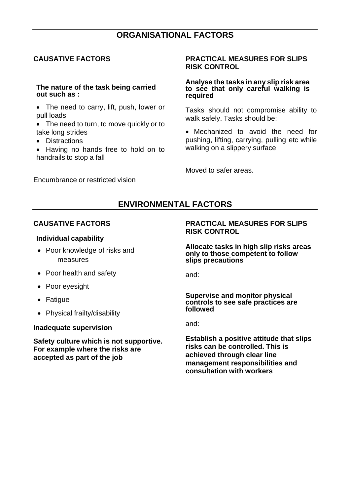# **ORGANISATIONAL FACTORS**

# **CAUSATIVE FACTORS**

#### **The nature of the task being carried out such as :**

- The need to carry, lift, push, lower or pull loads
- The need to turn, to move quickly or to take long strides
- Distractions
- Having no hands free to hold on to handrails to stop a fall

Encumbrance or restricted vision

#### **PRACTICAL MEASURES FOR SLIPS RISK CONTROL**

#### **Analyse the tasks in any slip risk area to see that only careful walking is required**

Tasks should not compromise ability to walk safely. Tasks should be:

• Mechanized to avoid the need for pushing, lifting, carrying, pulling etc while walking on a slippery surface

Moved to safer areas.

# **ENVIRONMENTAL FACTORS**

# **CAUSATIVE FACTORS**

#### **Individual capability**

- Poor knowledge of risks and measures
- Poor health and safety
- Poor eyesight
- Fatigue
- Physical frailty/disability

#### **Inadequate supervision**

**Safety culture which is not supportive. For example where the risks are accepted as part of the job**

#### **PRACTICAL MEASURES FOR SLIPS RISK CONTROL**

**Allocate tasks in high slip risks areas only to those competent to follow slips precautions**

and:

#### **Supervise and monitor physical controls to see safe practices are followed**

and:

**Establish a positive attitude that slips risks can be controlled. This is achieved through clear line management responsibilities and consultation with workers**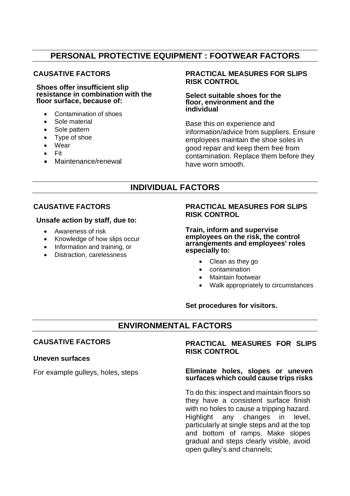# **PERSONAL PROTECTIVE EQUIPMENT : FOOTWEAR FACTORS**

# **CAUSATIVE FACTORS**

**Shoes offer insufficient slip resistance in combination with the floor surface, because of:**

- Contamination of shoes
- Sole material
- Sole pattern
- Type of shoe
- **Wear**
- Fit
- Maintenance/renewal

# **PRACTICAL MEASURES FOR SLIPS RISK CONTROL**

#### **Select suitable shoes for the floor, environment and the individual**

Base this on experience and information/advice from suppliers. Ensure employees maintain the shoe soles in good repair and keep them free from contamination. Replace them before they have worn smooth.

# **INDIVIDUAL FACTORS**

# **CAUSATIVE FACTORS**

#### **Unsafe action by staff, due to:**

- Awareness of risk
- Knowledge of how slips occur
- Information and training, or
- Distraction, carelessness

# **PRACTICAL MEASURES FOR SLIPS RISK CONTROL**

**Train, inform and supervise employees on the risk, the control arrangements and employees' roles especially to:**

- Clean as they go
- contamination
- Maintain footwear
- Walk appropriately to circumstances

#### **Set procedures for visitors.**

# **ENVIRONMENTAL FACTORS**

# **CAUSATIVE FACTORS**

#### **Uneven surfaces**

For example gulleys, holes, steps

# **PRACTICAL MEASURES FOR SLIPS RISK CONTROL**

#### **Eliminate holes, slopes or uneven surfaces which could cause trips risks**

To do this: inspect and maintain floors so they have a consistent surface finish with no holes to cause a tripping hazard. Highlight any changes in level, particularly at single steps and at the top and bottom of ramps. Make slopes gradual and steps clearly visible, avoid open gulley's and channels;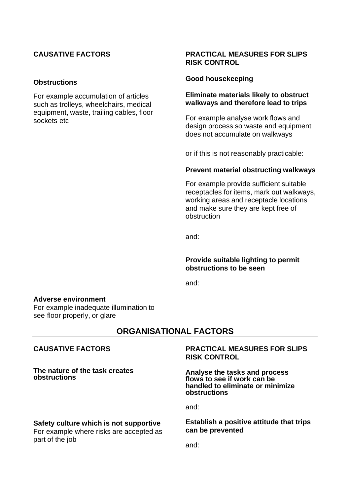# **CAUSATIVE FACTORS**

#### **Obstructions**

For example accumulation of articles such as trolleys, wheelchairs, medical equipment, waste, trailing cables, floor sockets etc

# **PRACTICAL MEASURES FOR SLIPS RISK CONTROL**

#### **Good housekeeping**

# **Eliminate materials likely to obstruct walkways and therefore lead to trips**

For example analyse work flows and design process so waste and equipment does not accumulate on walkways

or if this is not reasonably practicable:

#### **Prevent material obstructing walkways**

For example provide sufficient suitable receptacles for items, mark out walkways, working areas and receptacle locations and make sure they are kept free of obstruction

and:

#### **Provide suitable lighting to permit obstructions to be seen**

and:

#### **Adverse environment**

For example inadequate illumination to see floor properly, or glare

# **ORGANISATIONAL FACTORS**

# **CAUSATIVE FACTORS**

**The nature of the task creates obstructions**

# **Safety culture which is not supportive**

For example where risks are accepted as part of the job

#### **PRACTICAL MEASURES FOR SLIPS RISK CONTROL**

**Analyse the tasks and process flows to see if work can be handled to eliminate or minimize obstructions**

and:

#### **Establish a positive attitude that trips can be prevented**

and: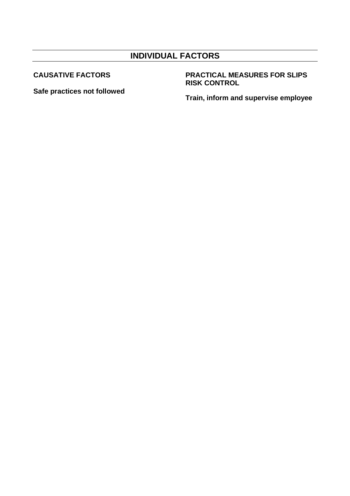# **INDIVIDUAL FACTORS**

**CAUSATIVE FACTORS**

**Safe practices not followed**

# **PRACTICAL MEASURES FOR SLIPS RISK CONTROL**

**Train, inform and supervise employee**